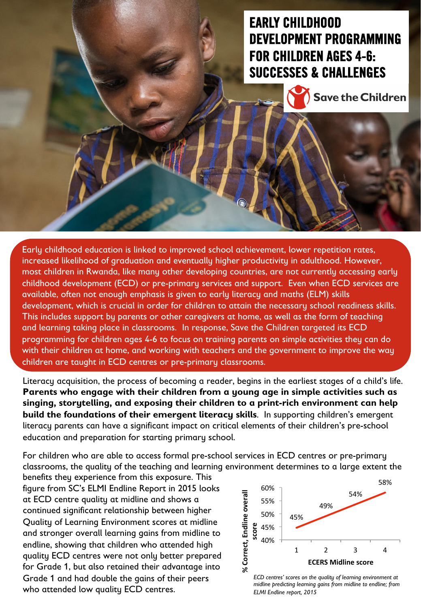# EARLY CHILDHOOD DEVELOPMENT PROGRAMMING FOR CHILDREN AGES 4-6: SUCCESSES & CHALLENGES



Early childhood education is linked to improved school achievement, lower repetition rates, increased likelihood of graduation and eventually higher productivity in adulthood. However, most children in Rwanda, like many other developing countries, are not currently accessing early childhood development (ECD) or pre-primary services and support. Even when ECD services are available, often not enough emphasis is given to early literacy and maths (ELM) skills development, which is crucial in order for children to attain the necessary school readiness skills. This includes support by parents or other caregivers at home, as well as the form of teaching and learning taking place in classrooms. In response, Save the Children targeted its ECD programming for children ages 4-6 to focus on training parents on simple activities they can do with their children at home, and working with teachers and the government to improve the way children are taught in ECD centres or pre-primary classrooms.

Literacy acquisition, the process of becoming a reader, begins in the earliest stages of a child's life. **Parents who engage with their children from a young age in simple activities such as singing, storytelling, and exposing their children to a print-rich environment can help build the foundations of their emergent literacy skills**. In supporting children's emergent literacy parents can have a significant impact on critical elements of their children's pre-school education and preparation for starting primary school.

For children who are able to access formal pre-school services in ECD centres or pre-primary classrooms, the quality of the teaching and learning environment determines to a large extent the

figure from SC's ELMI Endline Report in 2015 looks at ECD centre quality at midline and shows a continued significant relationship between higher Quality of Learning Environment scores at midline and stronger overall learning gains from midline to endline, showing that children who attended high quality ECD centres were not only better prepared for Grade 1, but also retained their advantage into Grade 1 and had double the gains of their peers who attended low quality ECD centres. benefits they experience from this exposure. This



*ECD centres' scores on the quality of learning environment at midline predicting learning gains from midline to endline; from ELMI Endline report, 2015*